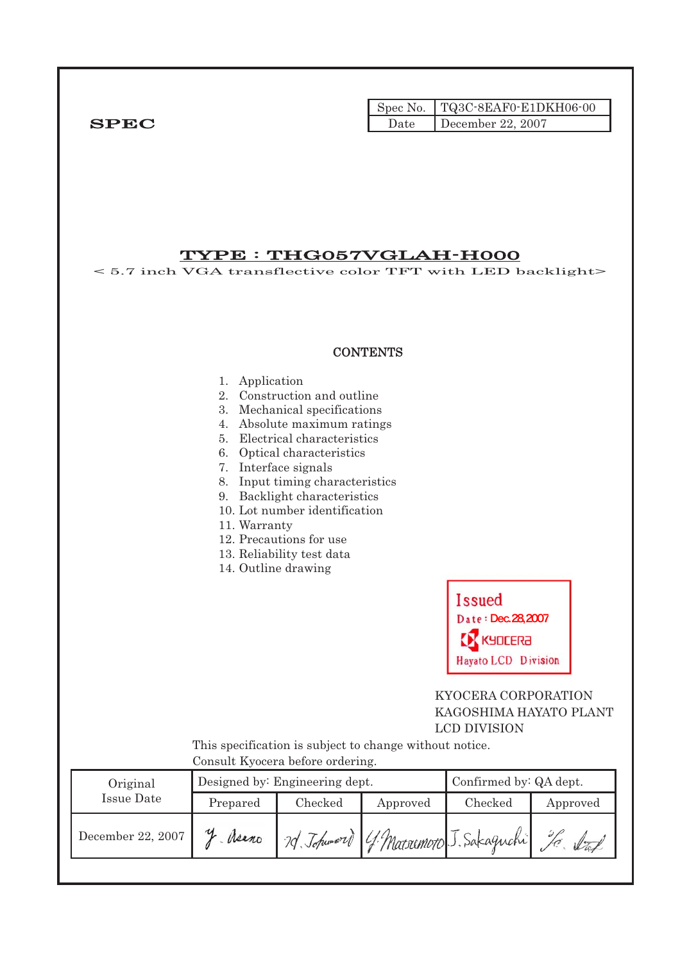|              |      | Spec No. TQ3C-8EAF0-E1DKH06-00 |
|--------------|------|--------------------------------|
| ${\bf SPEC}$ | Date | December 22, 2007              |

## TYPE : THG057VGLAH-H000

< 5.7 inch VGA transflective color TFT with LED backlight>

#### **CONTENTS**

#### 1. Application

- 2. Construction and outline
- 3. Mechanical specifications
- 4. Absolute maximum ratings
- 5. Electrical characteristics
- 6. Optical characteristics
- 7. Interface signals
- 8. Input timing characteristics
- 9. Backlight characteristics
- 10. Lot number identification
- 11. Warranty
- 12. Precautions for use
- 13. Reliability test data
- 14. Outline drawing



## KYOCERA CORPORATION KAGOSHIMA HAYATO PLANT LCD DIVISION

 This specification is subject to change without notice. Consult Kyocera before ordering.

| Original          |          | Designed by: Engineering dept. | Confirmed by: QA dept. |                           |          |
|-------------------|----------|--------------------------------|------------------------|---------------------------|----------|
| Issue Date        | Prepared | Checked                        | Approved               | Checked                   | Approved |
| December 22, 2007 | Asano    | 20 Johnword                    |                        | 4. Marsumoto J. Sakaguchi |          |
|                   |          |                                |                        |                           |          |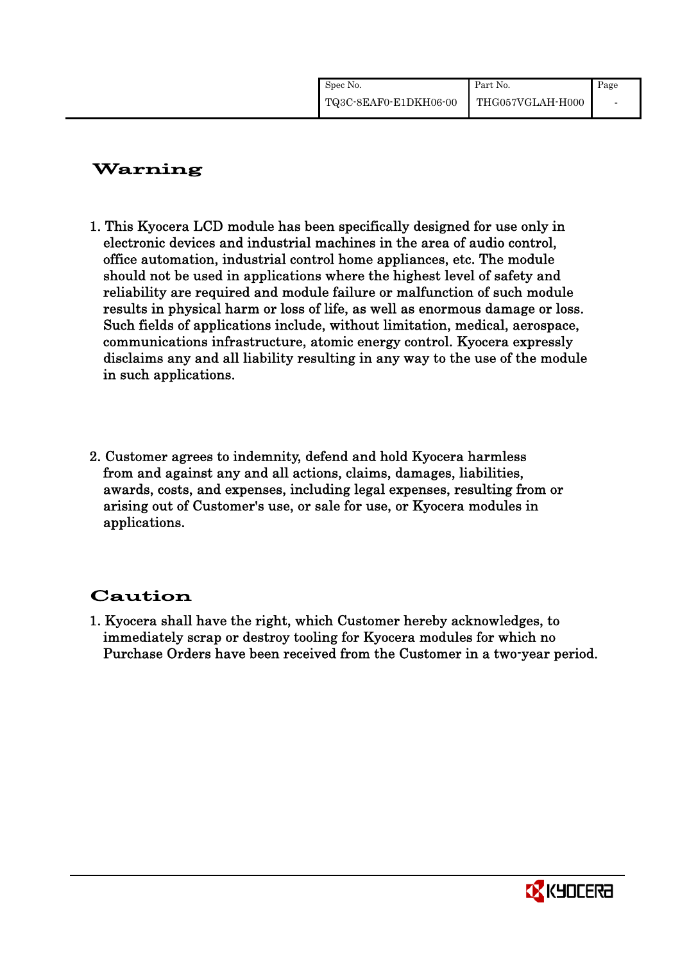| Spec No.              | Part No.         | Page |
|-----------------------|------------------|------|
| TQ3C-8EAF0-E1DKH06-00 | THG057VGLAH-H000 |      |

# Warning

- 1. This Kyocera LCD module has been specifically designed for use only in electronic devices and industrial machines in the area of audio control, office automation, industrial control home appliances, etc. The module should not be used in applications where the highest level of safety and reliability are required and module failure or malfunction of such module results in physical harm or loss of life, as well as enormous damage or loss. Such fields of applications include, without limitation, medical, aerospace, communications infrastructure, atomic energy control. Kyocera expressly disclaims any and all liability resulting in any way to the use of the module in such applications.
- 2. Customer agrees to indemnity, defend and hold Kyocera harmless from and against any and all actions, claims, damages, liabilities, awards, costs, and expenses, including legal expenses, resulting from or arising out of Customer's use, or sale for use, or Kyocera modules in applications.

# Caution

1. Kyocera shall have the right, which Customer hereby acknowledges, to immediately scrap or destroy tooling for Kyocera modules for which no Purchase Orders have been received from the Customer in a two-year period.

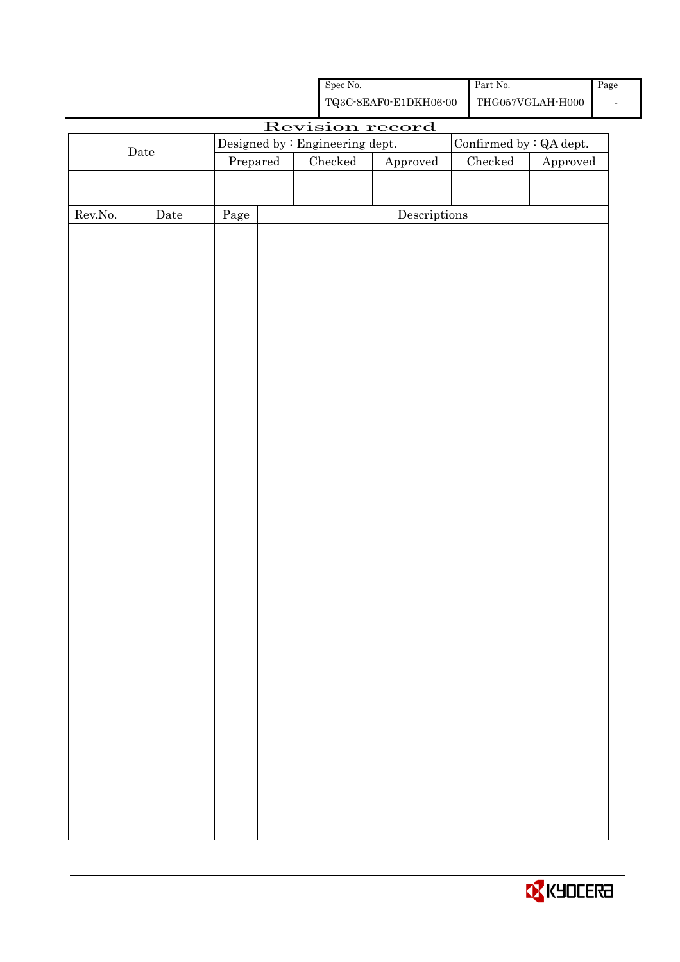|                  |      |                                 |                                                                                                | Spec No.      |                                      | Part No. |                         | Page |
|------------------|------|---------------------------------|------------------------------------------------------------------------------------------------|---------------|--------------------------------------|----------|-------------------------|------|
|                  |      |                                 | ${\bf TQ3C\text{-}SEAF0\text{-}E1DKH06\text{-}00}$<br>$\operatorname{THG057VGLAH\text{-}H000}$ |               |                                      |          |                         |      |
|                  |      |                                 |                                                                                                |               | Revision record                      |          |                         |      |
|                  |      | Designed by : Engineering dept. |                                                                                                |               |                                      |          | Confirmed by : QA dept. |      |
|                  | Date | Prepared                        |                                                                                                | $\rm Checked$ | Approved                             | Checked  | Approved                |      |
|                  |      |                                 |                                                                                                |               |                                      |          |                         |      |
|                  |      |                                 |                                                                                                |               |                                      |          |                         |      |
| ${\rm Rev. No.}$ | Date | $\rm Page$                      |                                                                                                |               | $\label{eq:2} \textbf{Descriptions}$ |          |                         |      |
|                  |      |                                 |                                                                                                |               |                                      |          |                         |      |
|                  |      |                                 |                                                                                                |               |                                      |          |                         |      |
|                  |      |                                 |                                                                                                |               |                                      |          |                         |      |
|                  |      |                                 |                                                                                                |               |                                      |          |                         |      |
|                  |      |                                 |                                                                                                |               |                                      |          |                         |      |
|                  |      |                                 |                                                                                                |               |                                      |          |                         |      |
|                  |      |                                 |                                                                                                |               |                                      |          |                         |      |
|                  |      |                                 |                                                                                                |               |                                      |          |                         |      |
|                  |      |                                 |                                                                                                |               |                                      |          |                         |      |
|                  |      |                                 |                                                                                                |               |                                      |          |                         |      |
|                  |      |                                 |                                                                                                |               |                                      |          |                         |      |
|                  |      |                                 |                                                                                                |               |                                      |          |                         |      |
|                  |      |                                 |                                                                                                |               |                                      |          |                         |      |
|                  |      |                                 |                                                                                                |               |                                      |          |                         |      |
|                  |      |                                 |                                                                                                |               |                                      |          |                         |      |
|                  |      |                                 |                                                                                                |               |                                      |          |                         |      |
|                  |      |                                 |                                                                                                |               |                                      |          |                         |      |
|                  |      |                                 |                                                                                                |               |                                      |          |                         |      |
|                  |      |                                 |                                                                                                |               |                                      |          |                         |      |
|                  |      |                                 |                                                                                                |               |                                      |          |                         |      |
|                  |      |                                 |                                                                                                |               |                                      |          |                         |      |
|                  |      |                                 |                                                                                                |               |                                      |          |                         |      |
|                  |      |                                 |                                                                                                |               |                                      |          |                         |      |
|                  |      |                                 |                                                                                                |               |                                      |          |                         |      |
|                  |      |                                 |                                                                                                |               |                                      |          |                         |      |
|                  |      |                                 |                                                                                                |               |                                      |          |                         |      |
|                  |      |                                 |                                                                                                |               |                                      |          |                         |      |
|                  |      |                                 |                                                                                                |               |                                      |          |                         |      |
|                  |      |                                 |                                                                                                |               |                                      |          |                         |      |
|                  |      |                                 |                                                                                                |               |                                      |          |                         |      |
|                  |      |                                 |                                                                                                |               |                                      |          |                         |      |
|                  |      |                                 |                                                                                                |               |                                      |          |                         |      |
|                  |      |                                 |                                                                                                |               |                                      |          |                         |      |
|                  |      |                                 |                                                                                                |               |                                      |          |                         |      |
|                  |      |                                 |                                                                                                |               |                                      |          |                         |      |
|                  |      |                                 |                                                                                                |               |                                      |          |                         |      |

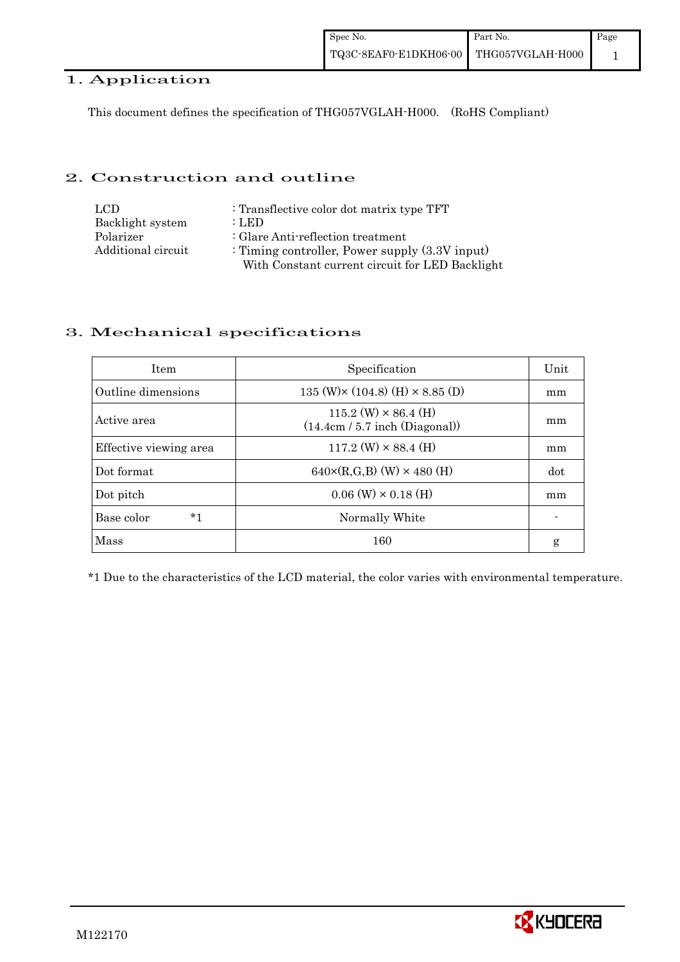## 1. Application

This document defines the specification of THG057VGLAH-H000. (RoHS Compliant)

### 2. Construction and outline

| LCD.               | : Transflective color dot matrix type TFT         |
|--------------------|---------------------------------------------------|
| Backlight system   | : LED                                             |
| Polarizer          | : Glare Anti-reflection treatment                 |
| Additional circuit | : Timing controller, Power supply $(3.3V)$ input) |
|                    | With Constant current circuit for LED Backlight   |

## 3. Mechanical specifications

| <b>Item</b>            | Specification                                                   | Unit |
|------------------------|-----------------------------------------------------------------|------|
| Outline dimensions     | 135 (W) $\times$ (104.8) (H) $\times$ 8.85 (D)                  | mm   |
| Active area            | $115.2$ (W) $\times$ 86.4 (H)<br>(14.4cm / 5.7 inch (Diagonal)) | mm   |
| Effective viewing area | $117.2$ (W) $\times$ 88.4 (H)                                   | mm   |
| Dot format             | $640 \times (R,G,B)$ (W) $\times 480$ (H)                       | dot  |
| Dot pitch              | $0.06$ (W) $\times$ 0.18 (H)                                    | mm   |
| Base color<br>*1       | Normally White                                                  |      |
| Mass                   | 160                                                             | g    |

\*1 Due to the characteristics of the LCD material, the color varies with environmental temperature.

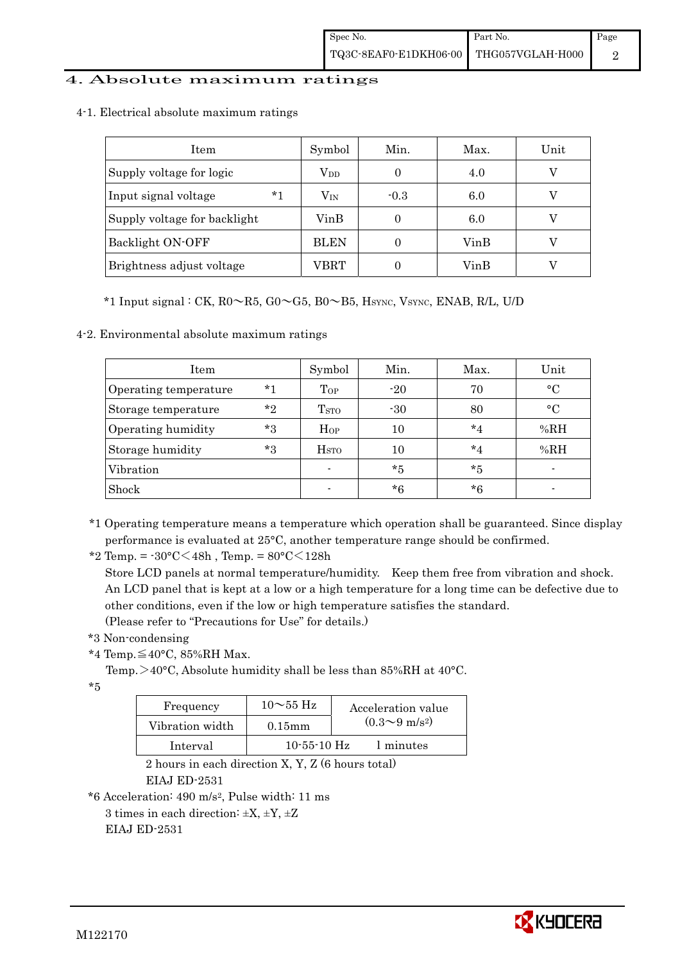## 4. Absolute maximum ratings

4-1. Electrical absolute maximum ratings

| <b>Item</b>                  | Symbol       | Min.             | Max. | Unit |
|------------------------------|--------------|------------------|------|------|
| Supply voltage for logic     | $\rm V_{DD}$ |                  | 4.0  |      |
| $*1$<br>Input signal voltage | $\rm V_{IN}$ | $-0.3$           | 6.0  |      |
| Supply voltage for backlight | VinB         |                  | 6.0  |      |
| Backlight ON-OFF             | <b>BLEN</b>  | $\left( \right)$ | VinB |      |
| Brightness adjust voltage    | VBRT         | 0                | VinB |      |

 $*1$  Input signal : CK,  $R0 \sim R5$ ,  $G0 \sim G5$ ,  $B0 \sim B5$ , Hsync, Vsync, ENAB, R/L, U/D

4-2. Environmental absolute maximum ratings

| Item                  |         | Symbol           | Min.  | Max.    | Unit      |
|-----------------------|---------|------------------|-------|---------|-----------|
| Operating temperature | $*1$    | Top              | $-20$ | 70      | $\circ$ C |
| Storage temperature   | $*_{2}$ | T <sub>STO</sub> | $-30$ | 80      | $\circ$ C |
| Operating humidity    | $*3$    | $H_{OP}$         | 10    | $*_{4}$ | %RH       |
| Storage humidity      | $*3$    | H <sub>STO</sub> | 10    | $*_{4}$ | %RH       |
| Vibration             |         |                  | $*5$  | $*5$    |           |
| Shock                 |         |                  | $*6$  | $*6$    |           |

\*1 Operating temperature means a temperature which operation shall be guaranteed. Since display performance is evaluated at 25°C, another temperature range should be confirmed.

\*2 Temp. = -30°C<48h , Temp. = 80°C<128h

 Store LCD panels at normal temperature/humidity. Keep them free from vibration and shock. An LCD panel that is kept at a low or a high temperature for a long time can be defective due to other conditions, even if the low or high temperature satisfies the standard.

(Please refer to "Precautions for Use" for details.)

- \*3 Non-condensing
- \*4 Temp.≦40°C, 85%RH Max.

Temp. >40°C, Absolute humidity shall be less than 85%RH at 40°C.

\*5

| Frequency       | $10\sim$ 55 Hz    | Acceleration value           |
|-----------------|-------------------|------------------------------|
| Vibration width | $0.15$ mm         | $(0.3 \sim 9 \text{ m/s}^2)$ |
| Interval        | $10 - 55 - 10$ Hz | 1 minutes                    |

 2 hours in each direction X, Y, Z (6 hours total) EIAJ ED-2531

\*6 Acceleration: 490 m/s2, Pulse width: 11 ms

3 times in each direction:  $\pm X$ ,  $\pm Y$ ,  $\pm Z$ 

EIAJ ED-2531

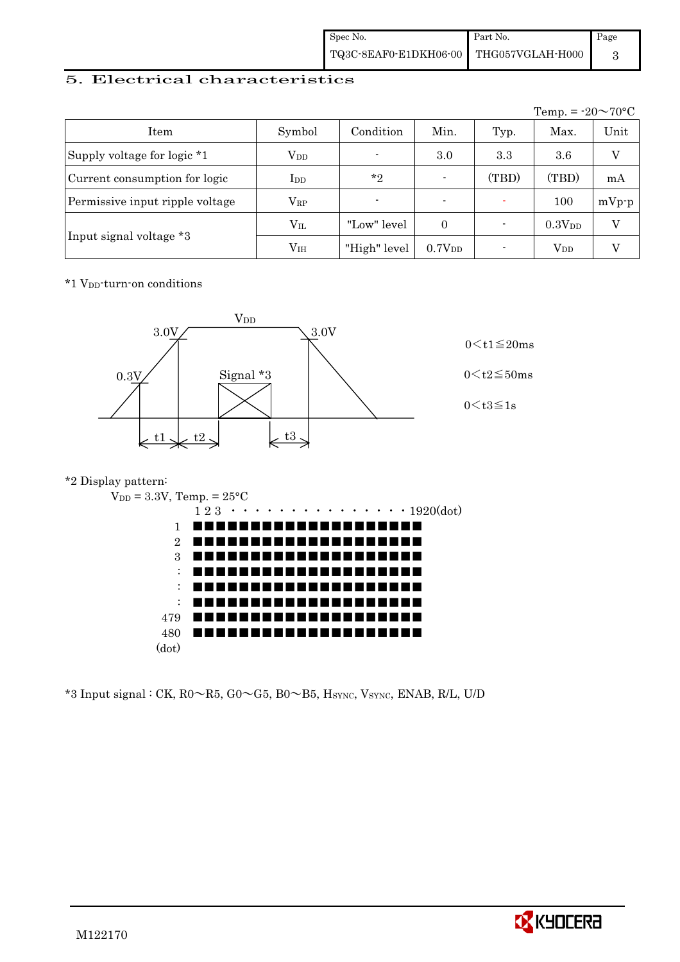| Spec No.                               | Part No. | Page |
|----------------------------------------|----------|------|
| TQ3C-8EAF0-E1DKH06-00 THG057VGLAH-H000 |          |      |

## 5. Electrical characteristics

|                                 |               |                |                          |       | Temp. = $-20 \sim 70$ °C |          |
|---------------------------------|---------------|----------------|--------------------------|-------|--------------------------|----------|
| Item                            | Symbol        | Condition      | Min.                     | Typ.  | Max.                     | Unit     |
| Supply voltage for logic *1     | $\rm V_{DD}$  | $\blacksquare$ | 3.0                      | 3.3   | $3.6\,$                  | V        |
| Current consumption for logic   | $_{\rm{LDD}}$ | $*_{2}$        | $\blacksquare$           | (TBD) | (TBD)                    | mA       |
| Permissive input ripple voltage | $\rm V_{RP}$  | $\blacksquare$ | $\overline{\phantom{0}}$ |       | 100                      | $mVp-p$  |
|                                 | $\rm V_{II}$  | "Low" level    | $\Omega$                 |       | 0.3V <sub>DD</sub>       | $\rm _V$ |
| Input signal voltage *3         | $\rm V_{IH}$  | "High" level   | 0.7V <sub>DD</sub>       |       | $V_{DD}$                 |          |

\*1 VDD-turn-on conditions



## \*2 Display pattern:



 $*3$  Input signal : CK, R0 $\sim$ R5, G0 $\sim$ G5, B0 $\sim$ B5, Hsync, Vsync, ENAB, R/L, U/D

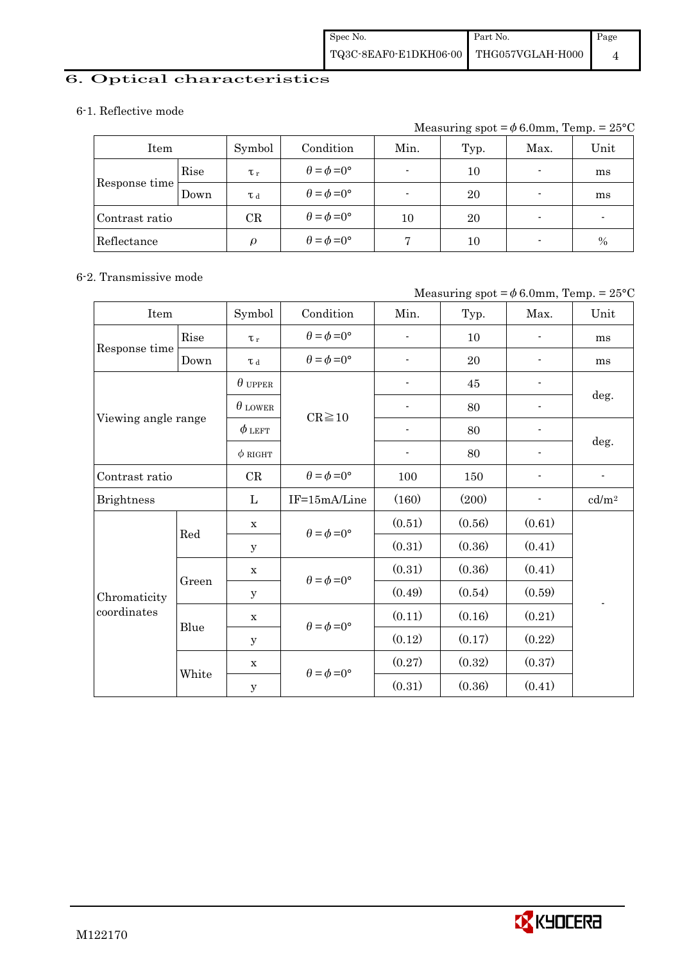# 6. Optical characteristics

#### 6-1. Reflective mode

Measuring spot =  $\phi$  6.0mm, Temp. = 25°C

| Item           |      | Symbol              | Condition                   | Min. | Typ. | Max.                     | Unit          |
|----------------|------|---------------------|-----------------------------|------|------|--------------------------|---------------|
| Rise           |      | $\tau_r$            | $\theta = \phi = 0^{\circ}$ |      | 10   | $\blacksquare$           | ms            |
| Response time  | Down | T d                 | $\theta = \phi = 0^{\circ}$ |      | 20   | $\blacksquare$           | ms            |
| Contrast ratio |      | $\operatorname{CR}$ | $\theta = \phi = 0^{\circ}$ | 10   | 20   | $\blacksquare$           |               |
| Reflectance    |      | $\Omega$            | $\theta = \phi = 0^{\circ}$ |      | 10   | $\overline{\phantom{a}}$ | $\frac{0}{0}$ |

### 6-2. Transmissive mode

#### Measuring spot =  $\phi$  6.0mm, Temp. = 25°C

| Item                |       | Symbol         | Condition                   | Min.                     | Typ.   | Max.           | Unit              |
|---------------------|-------|----------------|-----------------------------|--------------------------|--------|----------------|-------------------|
|                     | Rise  | $\tau_r$       | $\theta = \phi = 0^{\circ}$ | $\overline{\phantom{a}}$ | 10     |                | ms                |
| Response time       | Down  | $\tau$ d       | $\theta = \phi = 0^{\circ}$ | $\overline{a}$           | 20     |                | ms                |
|                     |       | $\theta$ upper |                             |                          | 45     |                |                   |
|                     |       | $\theta$ lower | $CR \ge 10$                 |                          | 80     |                | deg.              |
| Viewing angle range |       | $\phi$ left    |                             |                          | 80     |                |                   |
|                     |       | $\phi$ RIGHT   |                             | $\overline{\phantom{a}}$ | 80     | $\overline{a}$ | deg.              |
| Contrast ratio      |       | CR             | $\theta = \phi = 0^{\circ}$ | 100                      | 150    |                | $\overline{a}$    |
| <b>Brightness</b>   |       | L              | IF=15mA/Line                | (160)                    | (200)  |                | cd/m <sup>2</sup> |
|                     | Red   | $\mathbf X$    | $\theta = \phi = 0^{\circ}$ | (0.51)                   | (0.56) | (0.61)         |                   |
|                     |       | У              |                             | (0.31)                   | (0.36) | (0.41)         |                   |
|                     |       | $\mathbf X$    | $\theta = \phi = 0^{\circ}$ | (0.31)                   | (0.36) | (0.41)         |                   |
| Chromaticity        | Green | у              |                             | (0.49)                   | (0.54) | (0.59)         |                   |
| coordinates         |       | $\mathbf X$    | $\theta = \phi = 0^{\circ}$ | (0.11)                   | (0.16) | (0.21)         |                   |
|                     | Blue  | $\mathbf y$    |                             | (0.12)                   | (0.17) | (0.22)         |                   |
|                     |       | $\mathbf X$    | $\theta = \phi = 0^{\circ}$ | (0.27)                   | (0.32) | (0.37)         |                   |
|                     | White | $\mathbf y$    |                             | (0.31)                   | (0.36) | (0.41)         |                   |

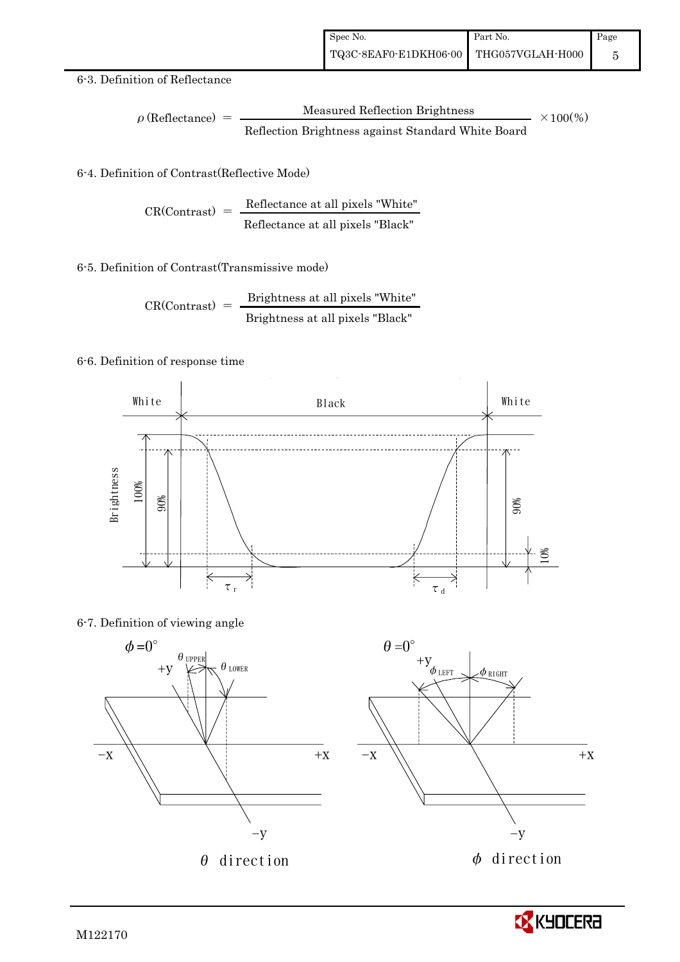#### 6-3. Definition of Reflectance

$$
\rho \text{ (Reflectance)} = \frac{\text{Measured Reflection brightness}}{\text{Reflection brightness against Standard White Board}}
$$
 × 100%

## 6-4. Definition of Contrast(Reflective Mode)

$$
CR(Contrast) = \frac{Reference at all pixels "White" } {Reference at all pixels "Black" }
$$

#### 6-5. Definition of Contrast(Transmissive mode)

$$
CR(Contrast) = \frac{Brightness \text{ at all pixels "White"}}{Brightness \text{ at all pixels "Black"}}
$$

#### 6-6. Definition of response time



#### 6-7. Definition of viewing angle



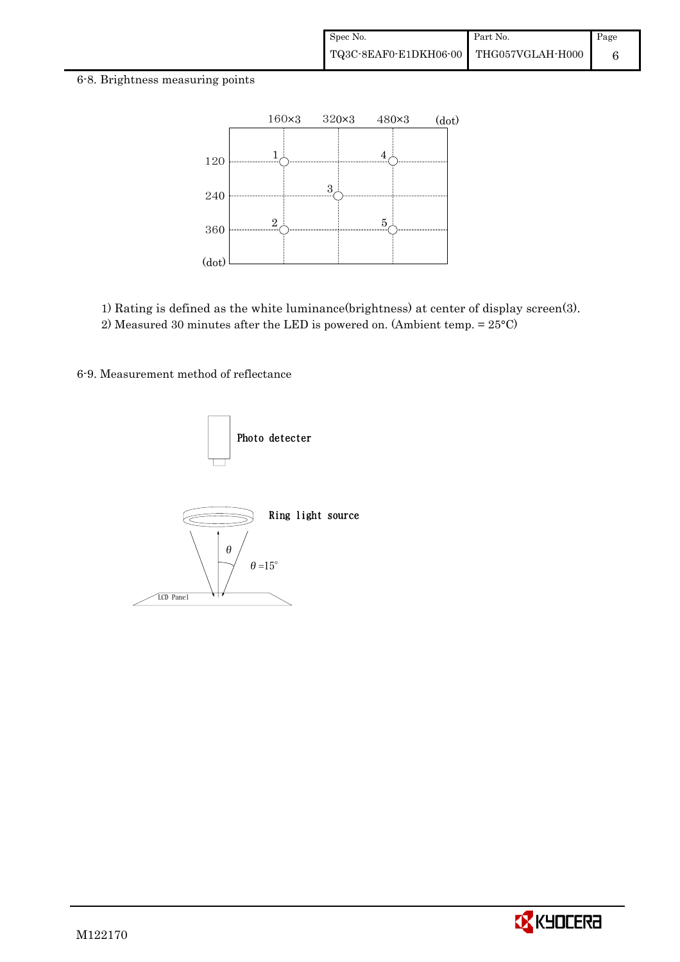#### 6-8. Brightness measuring points



1) Rating is defined as the white luminance(brightness) at center of display screen(3). 2) Measured 30 minutes after the LED is powered on. (Ambient temp. = 25°C)

6-9. Measurement method of reflectance



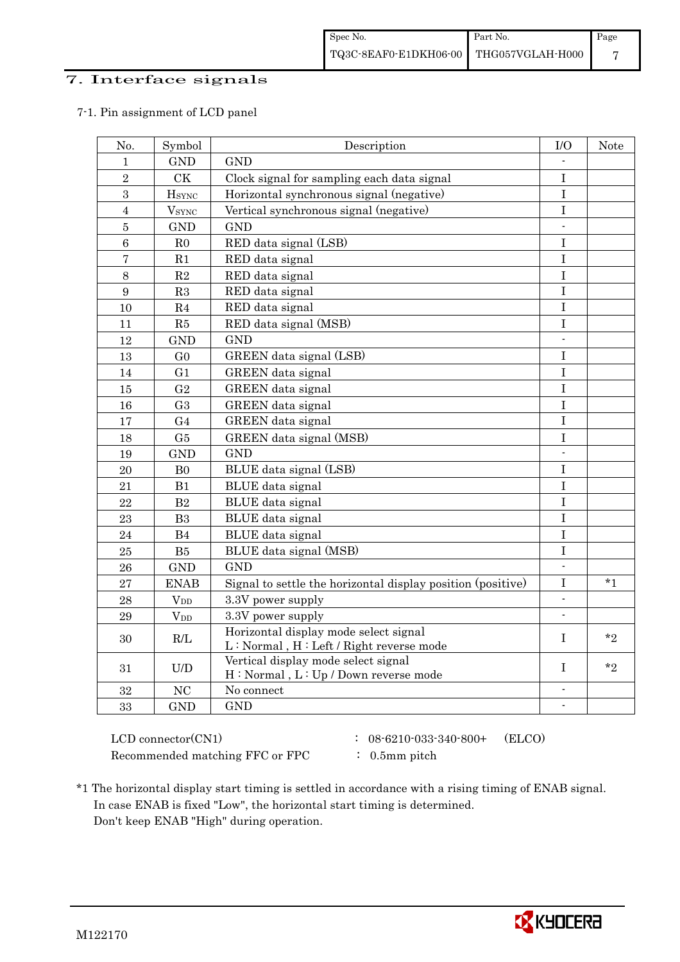## 7. Interface signals

#### 7-1. Pin assignment of LCD panel

| No.              | Symbol                   | Description                                                                      | $\rm I/O$                | Note    |
|------------------|--------------------------|----------------------------------------------------------------------------------|--------------------------|---------|
| $\mathbf{1}$     | <b>GND</b>               | <b>GND</b>                                                                       |                          |         |
| $\overline{2}$   | <b>CK</b>                | Clock signal for sampling each data signal                                       | $\mathbf I$              |         |
| $\sqrt{3}$       | <b>H</b> sync            | Horizontal synchronous signal (negative)                                         | $\overline{I}$           |         |
| $\overline{4}$   | <b>V</b> <sub>SYNC</sub> | Vertical synchronous signal (negative)                                           | $\mathbf I$              |         |
| $\bf 5$          | <b>GND</b>               | <b>GND</b>                                                                       |                          |         |
| 6                | R <sub>0</sub>           | RED data signal (LSB)                                                            | I                        |         |
| $\boldsymbol{7}$ | R1                       | RED data signal                                                                  | $\bf I$                  |         |
| 8                | R2                       | RED data signal                                                                  | $\bf I$                  |         |
| $9\phantom{.}$   | $\mathbf{R}3$            | RED data signal                                                                  | $\bf I$                  |         |
| 10               | R4                       | RED data signal                                                                  | $\mathbf I$              |         |
| 11               | R5                       | RED data signal (MSB)                                                            | $\mathbf I$              |         |
| 12               | <b>GND</b>               | <b>GND</b>                                                                       | $\overline{\phantom{0}}$ |         |
| 13               | G <sub>0</sub>           | GREEN data signal (LSB)                                                          | $\bf I$                  |         |
| 14               | G <sub>1</sub>           | GREEN data signal                                                                | $\mathbf I$              |         |
| 15               | G <sub>2</sub>           | GREEN data signal                                                                | $\mathbf{I}$             |         |
| 16               | G <sub>3</sub>           | GREEN data signal                                                                | $\mathbf I$              |         |
| 17               | G <sub>4</sub>           | GREEN data signal                                                                | $\bf I$                  |         |
| 18               | G5                       | GREEN data signal (MSB)                                                          | $\rm I$                  |         |
| 19               | <b>GND</b>               | <b>GND</b>                                                                       |                          |         |
| $20\,$           | B <sub>0</sub>           | BLUE data signal (LSB)                                                           | $\rm I$                  |         |
| 21               | B1                       | BLUE data signal                                                                 | $\bf I$                  |         |
| $\bf{22}$        | B <sub>2</sub>           | BLUE data signal                                                                 | $\mathbf I$              |         |
| 23               | B <sub>3</sub>           | BLUE data signal                                                                 | $\mathbf I$              |         |
| 24               | B4                       | BLUE data signal                                                                 | $\overline{I}$           |         |
| 25               | B5                       | BLUE data signal (MSB)                                                           | $\mathbf I$              |         |
| 26               | <b>GND</b>               | <b>GND</b>                                                                       |                          |         |
| 27               | <b>ENAB</b>              | Signal to settle the horizontal display position (positive)                      | $\mathbf I$              | $*_{1}$ |
| 28               | $V_{DD}$                 | 3.3V power supply                                                                | $\overline{\phantom{a}}$ |         |
| 29               | $V_{DD}$                 | 3.3V power supply                                                                | $\blacksquare$           |         |
| 30               | R/I                      | Horizontal display mode select signal<br>L: Normal, H: Left / Right reverse mode | L                        | $*$ ?   |
| 31               | U/D                      | Vertical display mode select signal<br>H: Normal, L: Up / Down reverse mode      | T                        | $*_{2}$ |
| 32               | NC                       | No connect                                                                       |                          |         |
| 33               | <b>GND</b>               | <b>GND</b>                                                                       |                          |         |

 $LCD \text{ connector(CN1)}$  :  $08-6210-033-340-800+$  (ELCO) Recommended matching FFC or FPC : 0.5mm pitch

- 
- 
- \*1 The horizontal display start timing is settled in accordance with a rising timing of ENAB signal. In case ENAB is fixed "Low", the horizontal start timing is determined. Don't keep ENAB "High" during operation.

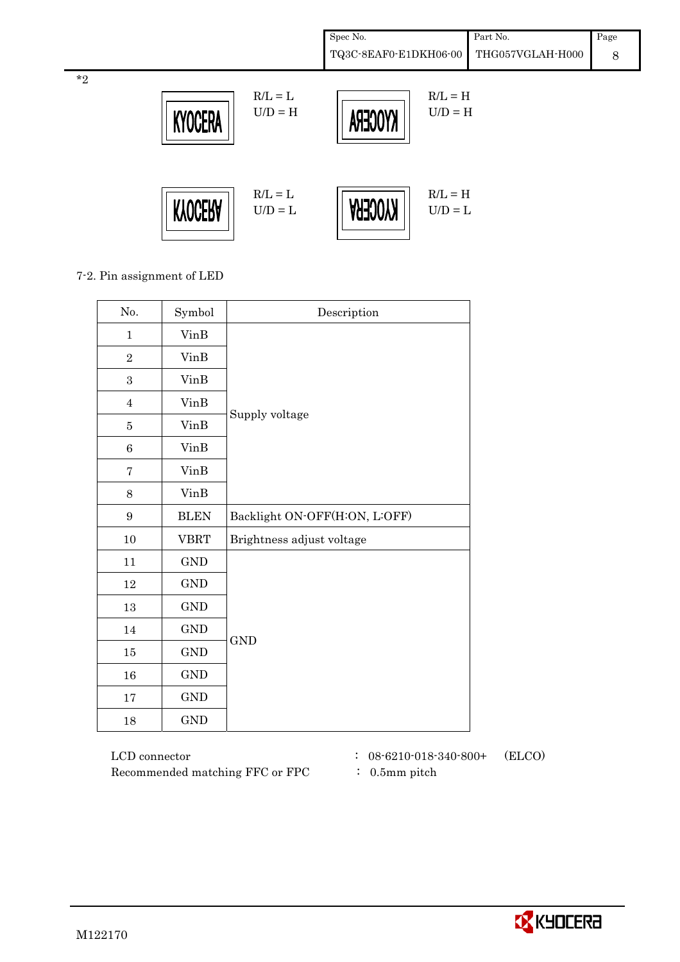| Spec No.                               | Part No. | Page |
|----------------------------------------|----------|------|
| TQ3C-8EAF0-E1DKH06-00 THG057VGLAH-H000 |          |      |



7-2. Pin assignment of LED

\*2

| No.              | Symbol               | Description                   |
|------------------|----------------------|-------------------------------|
| $\mathbf{1}$     | VinB                 |                               |
| $\overline{2}$   | <b>VinB</b>          |                               |
| 3                | VinB                 |                               |
| $\overline{4}$   | <b>VinB</b>          |                               |
| $\bf 5$          | <b>VinB</b>          | Supply voltage                |
| $\,6$            | VinB                 |                               |
| $\overline{7}$   | <b>VinB</b>          |                               |
| 8                | VinB                 |                               |
| $\boldsymbol{9}$ | <b>BLEN</b>          | Backlight ON-OFF(H:ON, L:OFF) |
| $10\,$           | <b>VBRT</b>          | Brightness adjust voltage     |
| 11               | $\mathop{\rm GND}$   |                               |
| 12               | $\mathop{\rm GND}$   |                               |
| $13\,$           | $\mathop{\rm GND}$   |                               |
| $14\,$           | $\mathop{\rm GND}$   |                               |
| $15\,$           | $\operatorname{GND}$ | <b>GND</b>                    |
| $16\,$           | <b>GND</b>           |                               |
| 17               | $\operatorname{GND}$ |                               |
| $18\,$           | $\operatorname{GND}$ |                               |

 LCD connector : 08-6210-018-340-800+ (ELCO) Recommended matching FFC or FPC : 0.5mm pitch

- 
-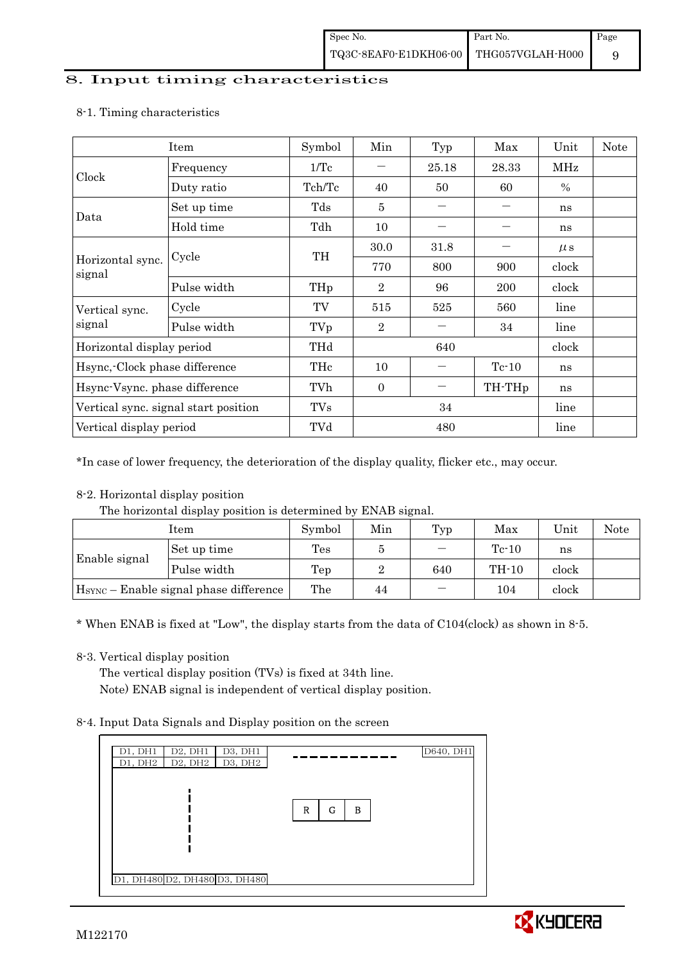#### 8. Input timing characteristics

|                                      | Item        | Symbol     | Min            | Typ                | Max     | Unit    | Note |
|--------------------------------------|-------------|------------|----------------|--------------------|---------|---------|------|
| Clock                                | Frequency   | 1/Tc       |                | 25.18              | 28.33   | MHz     |      |
|                                      | Duty ratio  | Tch/Tc     | 40             | 50                 | 60      | $\%$    |      |
| Data                                 | Set up time | Tds        | 5              |                    |         | ns      |      |
|                                      | Hold time   | Tdh        | 10             |                    |         | ns      |      |
|                                      | Cycle       | TH         | 30.0           | 31.8               |         | $\mu$ s |      |
| Horizontal sync.<br>signal           |             |            | 770            | 800                | 900     | clock   |      |
|                                      | Pulse width | THp        | $\overline{2}$ | 96                 | 200     | clock   |      |
| Vertical sync.                       | Cycle       | TV         | 515            | 525                | 560     | line    |      |
| signal                               | Pulse width | TVp        | $\overline{2}$ |                    | 34      | line    |      |
| Horizontal display period            |             | THd        |                | 640                |         | clock   |      |
| Hsync, Clock phase difference        |             | THc        | 10             |                    | $Tc-10$ | ns      |      |
| Hsync-Vsync. phase difference        |             | TVh        | $\Omega$       | TH-TH <sub>p</sub> |         | ns      |      |
| Vertical sync. signal start position |             | <b>TVs</b> | 34             |                    |         | line    |      |
| Vertical display period              |             | TVd        |                | 480                |         | line    |      |

#### 8-1. Timing characteristics

\*In case of lower frequency, the deterioration of the display quality, flicker etc., may occur.

## 8-2. Horizontal display position

The horizontal display position is determined by ENAB signal.

| Item                                               |             | Symbol | Min | Typ | Max     | Unit  | Note |
|----------------------------------------------------|-------------|--------|-----|-----|---------|-------|------|
|                                                    | Set up time | Tes    |     |     | $Te-10$ | ns    |      |
| <b>Enable signal</b>                               | Pulse width | Tep    |     | 640 | $TH-10$ | clock |      |
| H <sub>SYNC</sub> – Enable signal phase difference |             | The    | 44  | —   | 104     | clock |      |

\* When ENAB is fixed at "Low", the display starts from the data of C104(clock) as shown in 8-5.

## 8-3. Vertical display position

The vertical display position (TVs) is fixed at 34th line. Note) ENAB signal is independent of vertical display position.

## 8-4. Input Data Signals and Display position on the screen



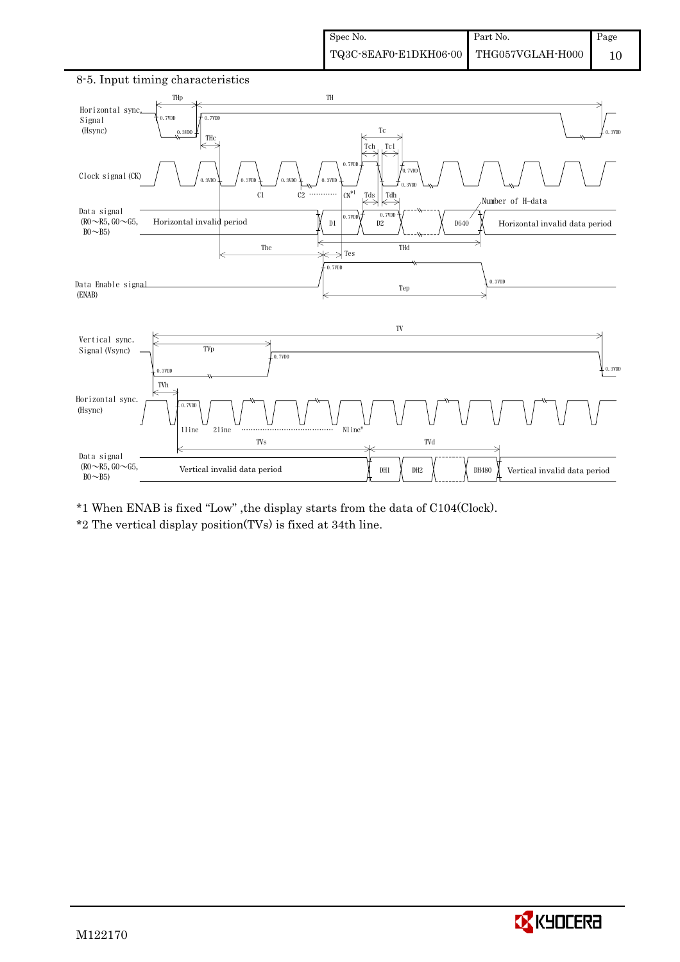

### 8-5. Input timing characteristics

\*1 When ENAB is fixed "Low" ,the display starts from the data of C104(Clock).

\*2 The vertical display position(TVs) is fixed at 34th line.

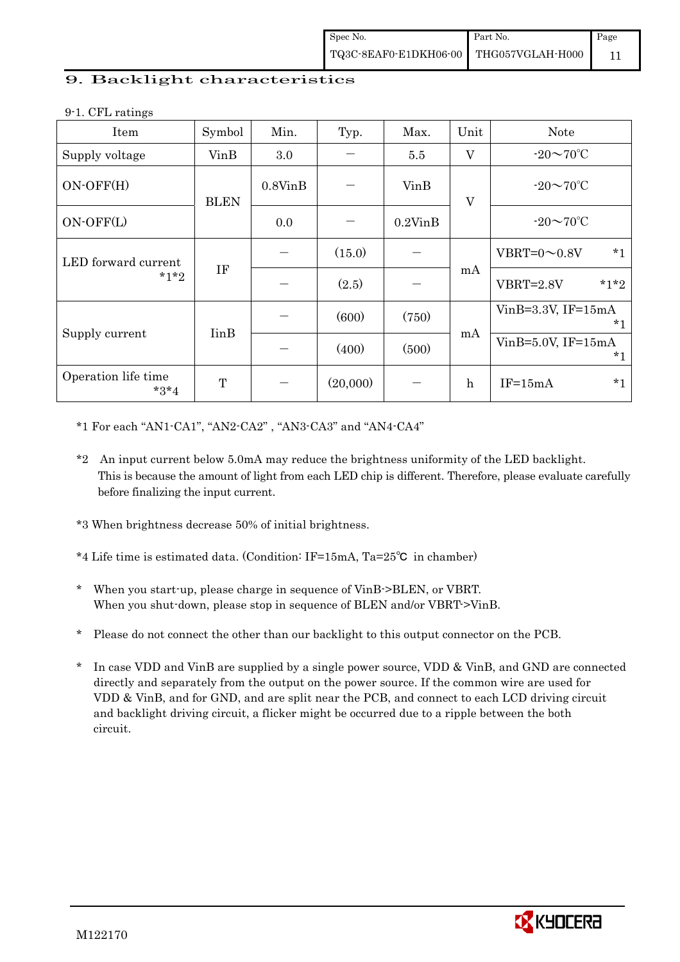## 9. Backlight characteristics

9-1. CFL ratings

| ັ<br>Item                     | Symbol                   | Min.          | Typ.     | Max.          | Unit         | <b>Note</b>                      |
|-------------------------------|--------------------------|---------------|----------|---------------|--------------|----------------------------------|
| Supply voltage                | VinB                     | 3.0           |          | 5.5           | $\mathbf{V}$ | $-20\sim 70^{\circ}$ C           |
| $ON-OFF(H)$                   | <b>BLEN</b>              | $0.8V$ in $B$ |          | VinB          | $\mathbf{V}$ | $-20\sim70^{\circ}$ C            |
| ON-OFF(L)                     |                          | 0.0           |          | $0.2$ Vin $B$ |              | $-20\sim 70^{\circ}$ C           |
| LED forward current           |                          |               | (15.0)   |               |              | $*1$<br>VBRT= $0 \sim 0.8$ V     |
| $*1*2$                        | IF                       |               | (2.5)    |               | mA           | $*1*2$<br>$VBRT = 2.8V$          |
|                               |                          |               | (600)    | (750)         |              | VinB= $3.3V$ , IF= $15mA$<br>*1  |
| Supply current                | <b>I</b> in <sub>B</sub> |               | (400)    | (500)         | mA           | $VinB=5.0V$ , IF= $15mA$<br>$*1$ |
| Operation life time<br>$*3*4$ | T                        |               | (20,000) |               | $\mathbf h$  | $*1$<br>$IF=15mA$                |

\*1 For each "AN1-CA1", "AN2-CA2" , "AN3-CA3" and "AN4-CA4"

\*2 An input current below 5.0mA may reduce the brightness uniformity of the LED backlight. This is because the amount of light from each LED chip is different. Therefore, please evaluate carefully before finalizing the input current.

\*3 When brightness decrease 50% of initial brightness.

- \*4 Life time is estimated data. (Condition: IF=15mA, Ta=25 $\degree$ C in chamber)
- \* When you start-up, please charge in sequence of VinB->BLEN, or VBRT. When you shut-down, please stop in sequence of BLEN and/or VBRT->VinB.
- \* Please do not connect the other than our backlight to this output connector on the PCB.
- In case VDD and VinB are supplied by a single power source, VDD & VinB, and GND are connected directly and separately from the output on the power source. If the common wire are used for VDD & VinB, and for GND, and are split near the PCB, and connect to each LCD driving circuit and backlight driving circuit, a flicker might be occurred due to a ripple between the both circuit.

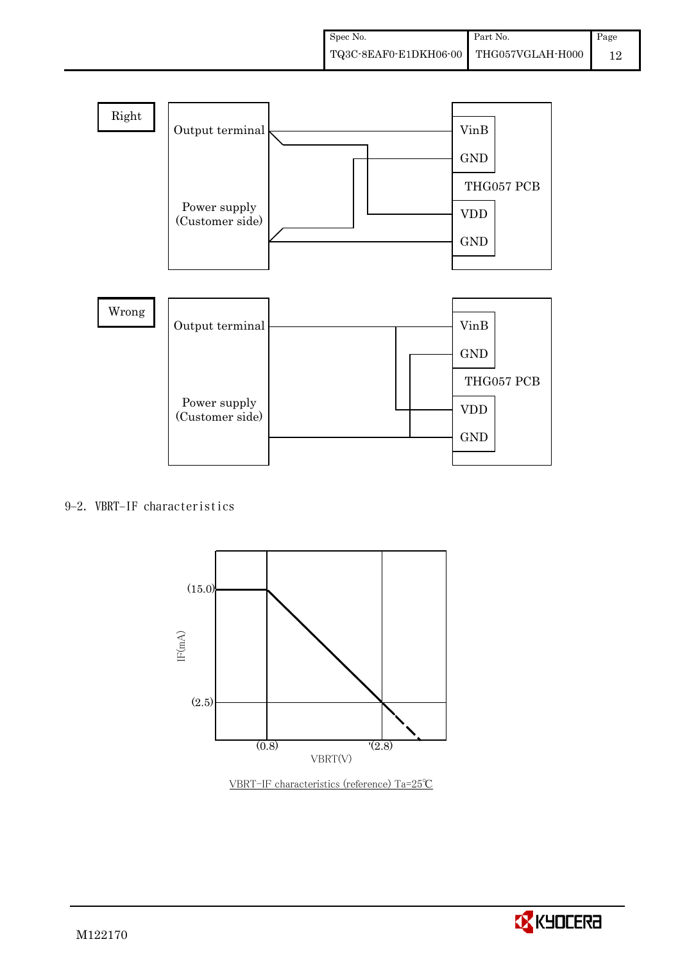

## 9-2. VBRT-IF characteristics



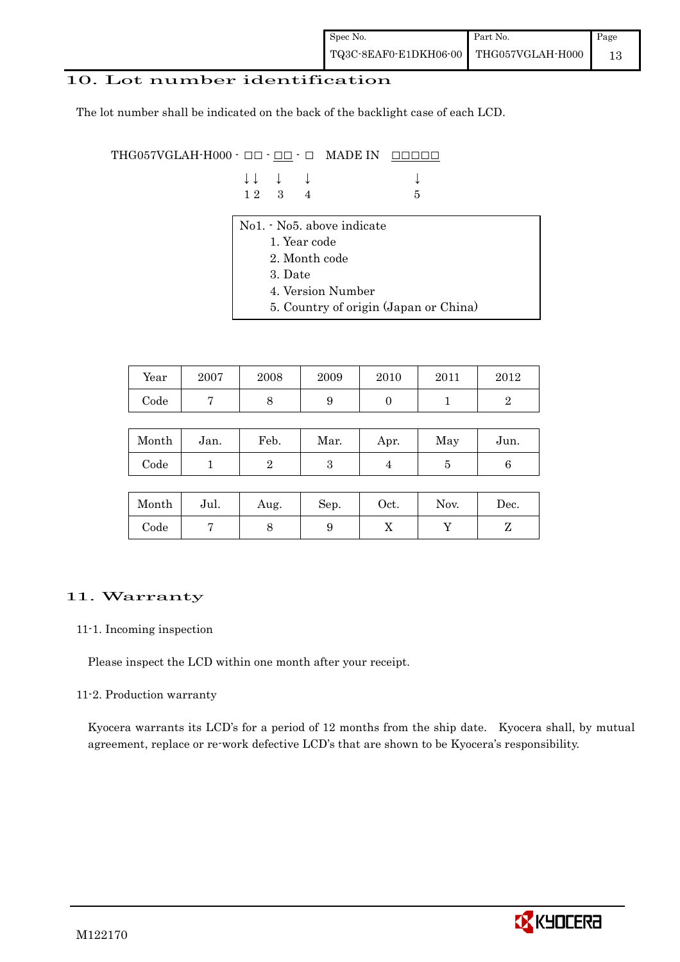## 10. Lot number identification

The lot number shall be indicated on the back of the backlight case of each LCD.

THG057VGLAH-H000  $\cdot$  OO  $\cdot$  <u>OO</u>  $\cdot$  O MADE IN <u>OOOOO</u>

| $\downarrow \downarrow \quad \downarrow \quad \downarrow$ |  |      |
|-----------------------------------------------------------|--|------|
| $12 \quad 3 \quad 4$                                      |  | $-5$ |

- No1. No5. above indicate
	- 1. Year code
	- 2. Month code
	- 3. Date
	- 4. Version Number
	- 5. Country of origin (Japan or China)

| Year | 2007 | 2008 | 2009 | 2010 | 2011 | $2012\,$ |
|------|------|------|------|------|------|----------|
| Code |      |      | ັ    |      |      |          |

| Month      | Jan. | Feb. | Mar. | Apr. | May | Jun. |
|------------|------|------|------|------|-----|------|
| $\rm Code$ |      |      | ౿    |      |     |      |

| Month      | Jul. | Aug. | Sep. | $\rm Oct.$ | Nov. | Dec. |
|------------|------|------|------|------------|------|------|
| $\rm Code$ |      |      |      | 77         |      |      |

## 11. Warranty

#### 11-1. Incoming inspection

Please inspect the LCD within one month after your receipt.

#### 11-2. Production warranty

 Kyocera warrants its LCD's for a period of 12 months from the ship date. Kyocera shall, by mutual agreement, replace or re-work defective LCD's that are shown to be Kyocera's responsibility.

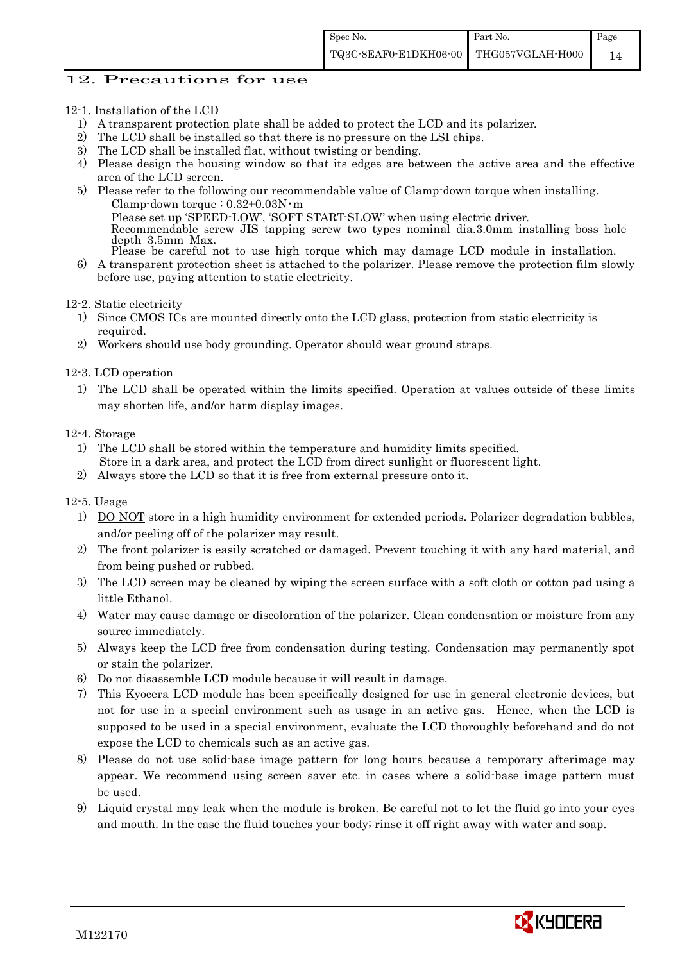#### 12. Precautions for use

- 12-1. Installation of the LCD
	- 1) A transparent protection plate shall be added to protect the LCD and its polarizer.
	- 2) The LCD shall be installed so that there is no pressure on the LSI chips.
	- 3) The LCD shall be installed flat, without twisting or bending.
	- 4) Please design the housing window so that its edges are between the active area and the effective area of the LCD screen.
	- 5) Please refer to the following our recommendable value of Clamp-down torque when installing. Clamp-down torque :  $0.32 \pm 0.03$ N·m Please set up 'SPEED-LOW', 'SOFT START-SLOW' when using electric driver. Recommendable screw JIS tapping screw two types nominal dia.3.0mm installing boss hole depth 3.5mm Max. Please be careful not to use high torque which may damage LCD module in installation.
	- 6) A transparent protection sheet is attached to the polarizer. Please remove the protection film slowly before use, paying attention to static electricity.

12-2. Static electricity

- 1) Since CMOS ICs are mounted directly onto the LCD glass, protection from static electricity is required.
- 2) Workers should use body grounding. Operator should wear ground straps.

12-3. LCD operation

1) The LCD shall be operated within the limits specified. Operation at values outside of these limits may shorten life, and/or harm display images.

12-4. Storage

- 1) The LCD shall be stored within the temperature and humidity limits specified. Store in a dark area, and protect the LCD from direct sunlight or fluorescent light.
- 2) Always store the LCD so that it is free from external pressure onto it.

12-5. Usage

- 1) DO NOT store in a high humidity environment for extended periods. Polarizer degradation bubbles, and/or peeling off of the polarizer may result.
- 2) The front polarizer is easily scratched or damaged. Prevent touching it with any hard material, and from being pushed or rubbed.
- 3) The LCD screen may be cleaned by wiping the screen surface with a soft cloth or cotton pad using a little Ethanol.
- 4) Water may cause damage or discoloration of the polarizer. Clean condensation or moisture from any source immediately.
- 5) Always keep the LCD free from condensation during testing. Condensation may permanently spot or stain the polarizer.
- 6) Do not disassemble LCD module because it will result in damage.
- 7) This Kyocera LCD module has been specifically designed for use in general electronic devices, but not for use in a special environment such as usage in an active gas. Hence, when the LCD is supposed to be used in a special environment, evaluate the LCD thoroughly beforehand and do not expose the LCD to chemicals such as an active gas.
- 8) Please do not use solid-base image pattern for long hours because a temporary afterimage may appear. We recommend using screen saver etc. in cases where a solid-base image pattern must be used.
- 9) Liquid crystal may leak when the module is broken. Be careful not to let the fluid go into your eyes and mouth. In the case the fluid touches your body; rinse it off right away with water and soap.

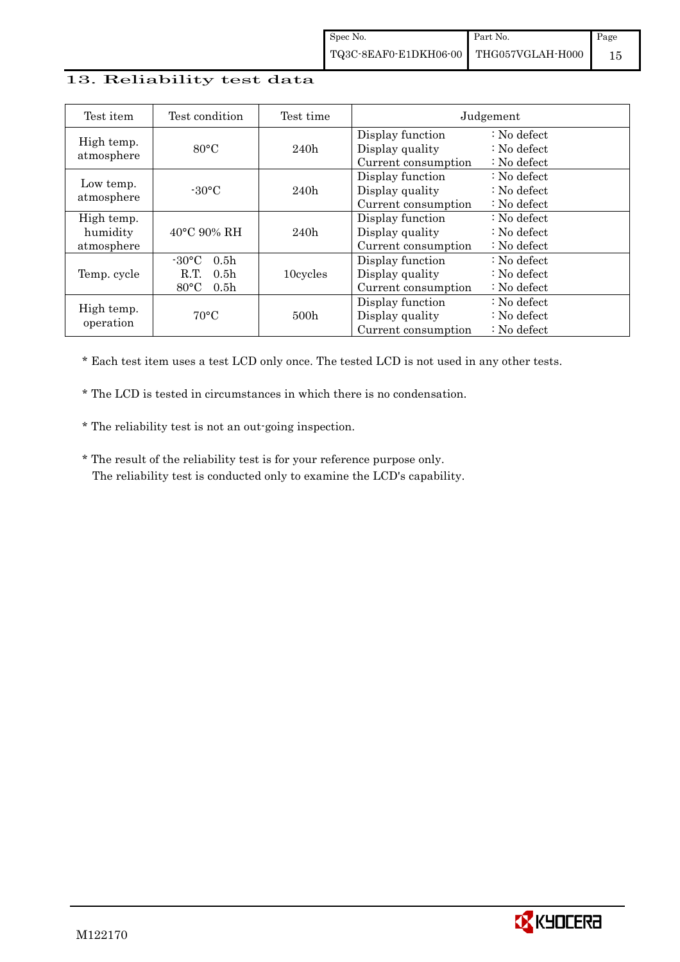## 13. Reliability test data

| Test item                            | Test condition                                                                                        | Test time        |                                                            | Judgement                                                                  |
|--------------------------------------|-------------------------------------------------------------------------------------------------------|------------------|------------------------------------------------------------|----------------------------------------------------------------------------|
| High temp.<br>atmosphere             | $80^{\circ}$ C                                                                                        | 240h             | Display function<br>Display quality<br>Current consumption | $\therefore$ No defect<br>$\therefore$ No defect<br>: No defect            |
| Low temp.<br>atmosphere              | $-30\degree C$                                                                                        | 240h             | Display function<br>Display quality<br>Current consumption | $\therefore$ No defect<br>$\therefore$ No defect<br>$\therefore$ No defect |
| High temp.<br>humidity<br>atmosphere | $40^{\circ}$ C 90% RH                                                                                 | 240h             | Display function<br>Display quality<br>Current consumption | $\therefore$ No defect<br>$\therefore$ No defect<br>$\therefore$ No defect |
| Temp. cycle                          | 0.5 <sub>h</sub><br>$-30^{\circ}$ C<br>0.5 <sub>h</sub><br>R.T.<br>$80^{\circ}$ C<br>0.5 <sub>h</sub> | 10cycles         | Display function<br>Display quality<br>Current consumption | $\therefore$ No defect<br>$\therefore$ No defect<br>$\therefore$ No defect |
| High temp.<br>operation              | $70^{\circ}$ C                                                                                        | 500 <sub>h</sub> | Display function<br>Display quality<br>Current consumption | $\therefore$ No defect<br>: No defect<br>$\therefore$ No defect            |

\* Each test item uses a test LCD only once. The tested LCD is not used in any other tests.

\* The LCD is tested in circumstances in which there is no condensation.

\* The reliability test is not an out-going inspection.

 \* The result of the reliability test is for your reference purpose only. The reliability test is conducted only to examine the LCD's capability.

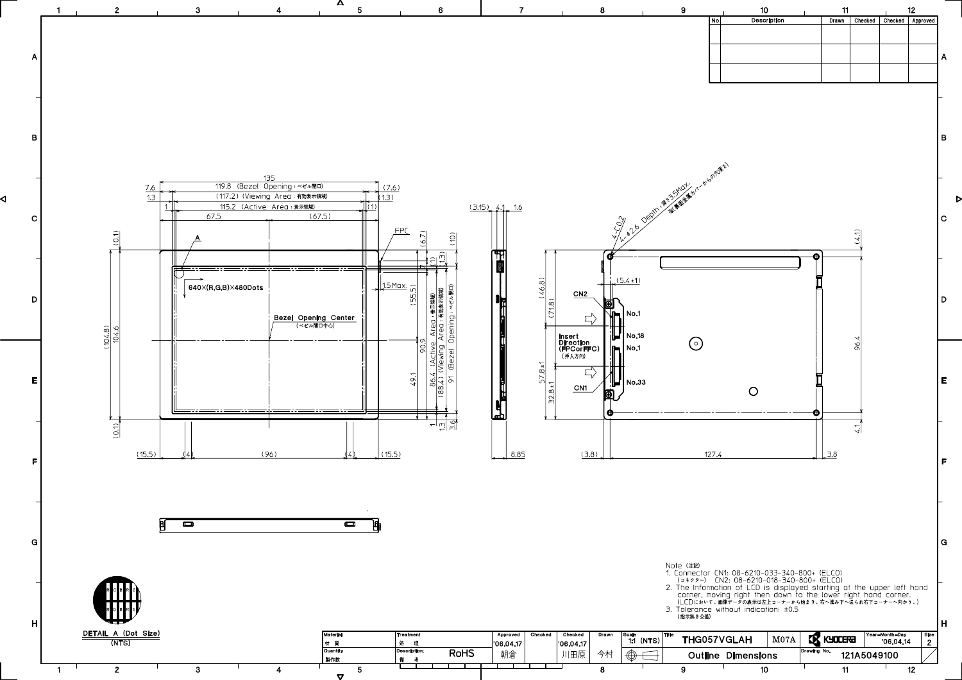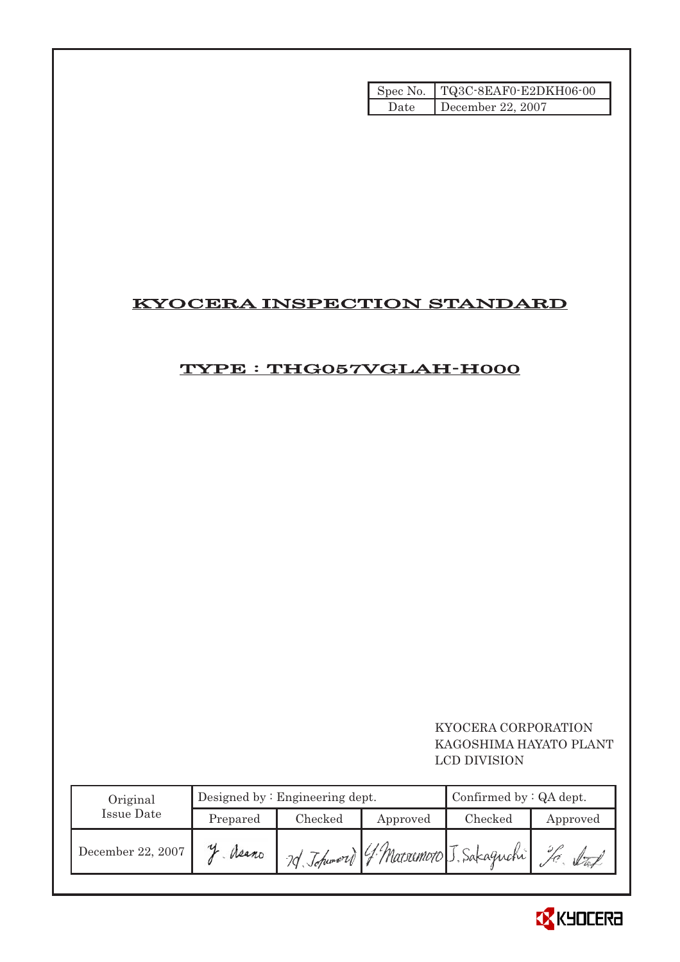|      | Spec No.   TQ3C-8EAF0-E2DKH06-00 |
|------|----------------------------------|
| Date | December 22, 2007                |

# KYOCERA INSPECTION STANDARD

# TYPE : THG057VGLAH-H000

## KYOCERA CORPORATION KAGOSHIMA HAYATO PLANT LCD DIVISION

| Original          |          | Designed by $:$ Engineering dept. | Confirmed by $:QA$ dept. |                                       |          |
|-------------------|----------|-----------------------------------|--------------------------|---------------------------------------|----------|
| Issue Date        | Prepared | Checked                           | Approved                 | Checked                               | Approved |
| December 22, 2007 | Neano    |                                   |                          | 7d Johnword ( Matsumoto J. Sakaguchi) |          |

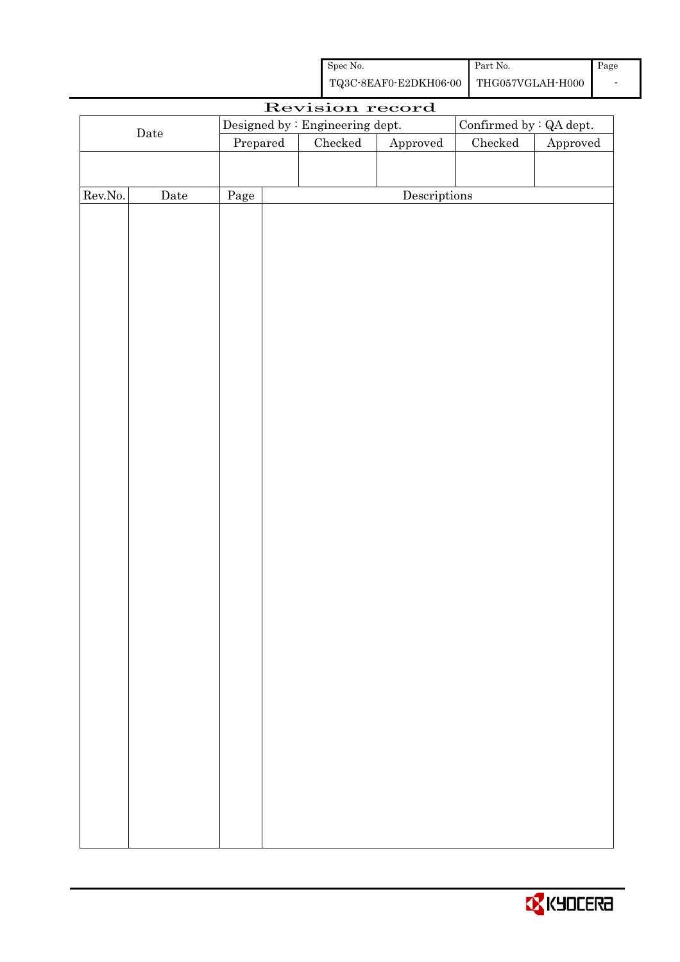| Spec No.                               | Part No. | Page |
|----------------------------------------|----------|------|
| TQ3C-8EAF0-E2DKH06-00 THG057VGLAH-H000 |          |      |

|         |                      |          | Revision record                 |              |                         |          |
|---------|----------------------|----------|---------------------------------|--------------|-------------------------|----------|
|         |                      |          | Designed by : Engineering dept. |              | Confirmed by : QA dept. |          |
|         | $\rm{\textbf{Date}}$ | Prepared | Checked                         | Approved     | $\rm Checked$           | Approved |
|         |                      |          |                                 |              |                         |          |
|         |                      |          |                                 |              |                         |          |
| Rev.No. | $\rm{\textbf{Date}}$ | Page     |                                 | Descriptions |                         |          |
|         |                      |          |                                 |              |                         |          |
|         |                      |          |                                 |              |                         |          |
|         |                      |          |                                 |              |                         |          |
|         |                      |          |                                 |              |                         |          |
|         |                      |          |                                 |              |                         |          |
|         |                      |          |                                 |              |                         |          |
|         |                      |          |                                 |              |                         |          |
|         |                      |          |                                 |              |                         |          |
|         |                      |          |                                 |              |                         |          |
|         |                      |          |                                 |              |                         |          |
|         |                      |          |                                 |              |                         |          |
|         |                      |          |                                 |              |                         |          |
|         |                      |          |                                 |              |                         |          |
|         |                      |          |                                 |              |                         |          |
|         |                      |          |                                 |              |                         |          |
|         |                      |          |                                 |              |                         |          |
|         |                      |          |                                 |              |                         |          |
|         |                      |          |                                 |              |                         |          |
|         |                      |          |                                 |              |                         |          |
|         |                      |          |                                 |              |                         |          |
|         |                      |          |                                 |              |                         |          |
|         |                      |          |                                 |              |                         |          |
|         |                      |          |                                 |              |                         |          |
|         |                      |          |                                 |              |                         |          |
|         |                      |          |                                 |              |                         |          |
|         |                      |          |                                 |              |                         |          |
|         |                      |          |                                 |              |                         |          |
|         |                      |          |                                 |              |                         |          |
|         |                      |          |                                 |              |                         |          |
|         |                      |          |                                 |              |                         |          |
|         |                      |          |                                 |              |                         |          |
|         |                      |          |                                 |              |                         |          |
|         |                      |          |                                 |              |                         |          |
|         |                      |          |                                 |              |                         |          |
|         |                      |          |                                 |              |                         |          |

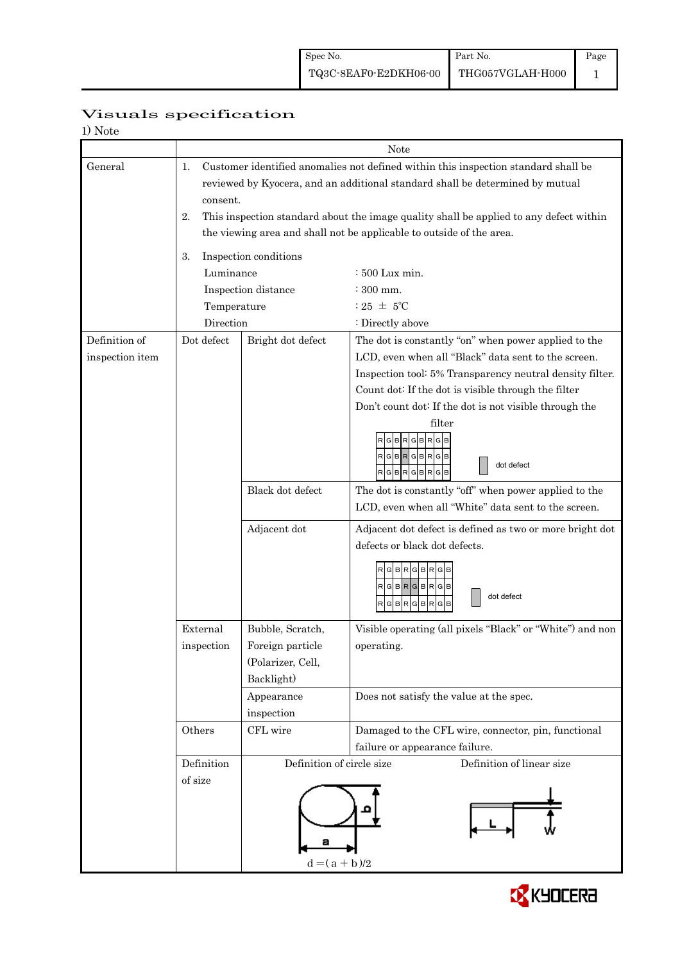| 1) Note         |                |                                                                                                                                                                |                                                                                                                                                                     |  |  |  |  |  |
|-----------------|----------------|----------------------------------------------------------------------------------------------------------------------------------------------------------------|---------------------------------------------------------------------------------------------------------------------------------------------------------------------|--|--|--|--|--|
|                 |                | Note                                                                                                                                                           |                                                                                                                                                                     |  |  |  |  |  |
| General         | 1.<br>consent. |                                                                                                                                                                | Customer identified anomalies not defined within this inspection standard shall be<br>reviewed by Kyocera, and an additional standard shall be determined by mutual |  |  |  |  |  |
|                 | 2.             | This inspection standard about the image quality shall be applied to any defect within<br>the viewing area and shall not be applicable to outside of the area. |                                                                                                                                                                     |  |  |  |  |  |
|                 |                |                                                                                                                                                                |                                                                                                                                                                     |  |  |  |  |  |
|                 | 3.             | Inspection conditions                                                                                                                                          |                                                                                                                                                                     |  |  |  |  |  |
|                 | Luminance      |                                                                                                                                                                | : 500 Lux min.                                                                                                                                                      |  |  |  |  |  |
|                 |                | Inspection distance                                                                                                                                            | $:300$ mm.                                                                                                                                                          |  |  |  |  |  |
|                 | Temperature    |                                                                                                                                                                | : 25 $\pm$ 5°C                                                                                                                                                      |  |  |  |  |  |
|                 | Direction      |                                                                                                                                                                | : Directly above                                                                                                                                                    |  |  |  |  |  |
| Definition of   | Dot defect     | Bright dot defect                                                                                                                                              | The dot is constantly "on" when power applied to the                                                                                                                |  |  |  |  |  |
| inspection item |                |                                                                                                                                                                | LCD, even when all "Black" data sent to the screen.                                                                                                                 |  |  |  |  |  |
|                 |                |                                                                                                                                                                | Inspection tool: 5% Transparency neutral density filter.                                                                                                            |  |  |  |  |  |
|                 |                |                                                                                                                                                                | Count dot: If the dot is visible through the filter                                                                                                                 |  |  |  |  |  |
|                 |                |                                                                                                                                                                | Don't count dot: If the dot is not visible through the<br>filter                                                                                                    |  |  |  |  |  |
|                 |                |                                                                                                                                                                | R G B R G B R G<br>RGBRGBRGB<br>dot defect<br>RGBRGBRGB                                                                                                             |  |  |  |  |  |
|                 |                | Black dot defect                                                                                                                                               | The dot is constantly "off" when power applied to the                                                                                                               |  |  |  |  |  |
|                 |                |                                                                                                                                                                | LCD, even when all "White" data sent to the screen.                                                                                                                 |  |  |  |  |  |
|                 |                | Adjacent dot                                                                                                                                                   | Adjacent dot defect is defined as two or more bright dot                                                                                                            |  |  |  |  |  |
|                 |                |                                                                                                                                                                | defects or black dot defects.<br>R G B R G B R G<br>RGBRGBRGB<br>dot defect<br>GBR<br><b>GBR</b><br>G B                                                             |  |  |  |  |  |
|                 | External       | Bubble, Scratch,                                                                                                                                               | Visible operating (all pixels "Black" or "White") and non                                                                                                           |  |  |  |  |  |
|                 | inspection     | Foreign particle                                                                                                                                               | operating.                                                                                                                                                          |  |  |  |  |  |
|                 |                | (Polarizer, Cell,                                                                                                                                              |                                                                                                                                                                     |  |  |  |  |  |
|                 |                | Backlight)                                                                                                                                                     |                                                                                                                                                                     |  |  |  |  |  |
|                 |                | Appearance                                                                                                                                                     | Does not satisfy the value at the spec.                                                                                                                             |  |  |  |  |  |
|                 |                | inspection                                                                                                                                                     |                                                                                                                                                                     |  |  |  |  |  |
|                 | Others         | CFL wire                                                                                                                                                       | Damaged to the CFL wire, connector, pin, functional<br>failure or appearance failure.                                                                               |  |  |  |  |  |
|                 | Definition     | Definition of circle size                                                                                                                                      | Definition of linear size                                                                                                                                           |  |  |  |  |  |
|                 | of size        | а<br>$d = (a + b)/2$                                                                                                                                           |                                                                                                                                                                     |  |  |  |  |  |